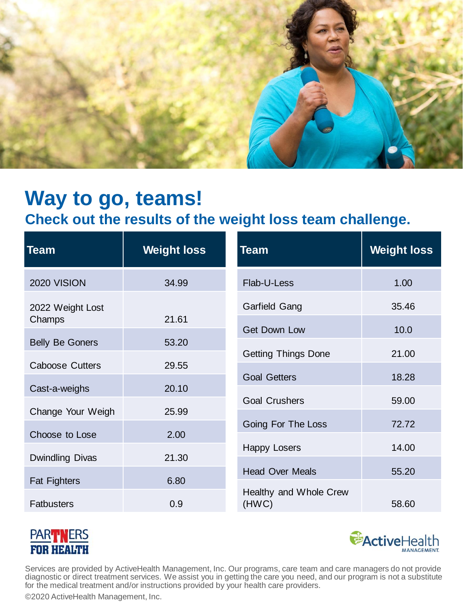

### **Check out the results of the weight loss team challenge.**

| Team                   | <b>Weight loss</b> | <b>Team</b>                | <b>Weight loss</b> |
|------------------------|--------------------|----------------------------|--------------------|
| 2020 VISION            | 34.99              | Flab-U-Less                | 1.00               |
| 2022 Weight Lost       |                    | Garfield Gang              | 35.46              |
| Champs                 | 21.61              | <b>Get Down Low</b>        | 10.0               |
| <b>Belly Be Goners</b> | 53.20              | <b>Getting Things Done</b> | 21.00              |
| <b>Caboose Cutters</b> | 29.55              |                            |                    |
| Cast-a-weighs          | 20.10              | <b>Goal Getters</b>        | 18.28              |
|                        |                    | <b>Goal Crushers</b>       | 59.00              |
| Change Your Weigh      | 25.99              | Going For The Loss         | 72.72              |
| Choose to Lose         | 2.00               |                            |                    |
| Dwindling Divas        | 21.30              | <b>Happy Losers</b>        | 14.00              |
|                        |                    | <b>Head Over Meals</b>     | 55.20              |
| <b>Fat Fighters</b>    | 6.80               | Healthy and Whole Crew     |                    |
| <b>Fatbusters</b>      | 0.9                | (HWC)                      | 58.60              |





Services are provided by ActiveHealth Management, Inc. Our programs, care team and care managers do not provide diagnostic or direct treatment services. We assist you in getting the care you need, and our program is not a substitute for the medical treatment and/or instructions provided by your health care providers.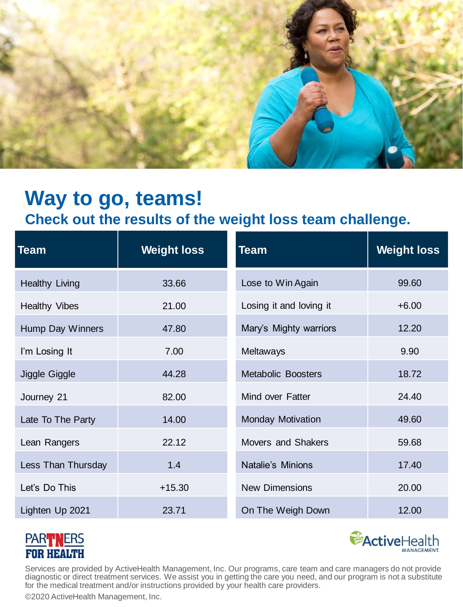

### **Check out the results of the weight loss team challenge.**

| Team                  | <b>Weight loss</b> | <b>Team</b>               | <b>Weight loss</b> |
|-----------------------|--------------------|---------------------------|--------------------|
| <b>Healthy Living</b> | 33.66              | Lose to Win Again         | 99.60              |
| <b>Healthy Vibes</b>  | 21.00              | Losing it and loving it   | $+6.00$            |
| Hump Day Winners      | 47.80              | Mary's Mighty warriors    | 12.20              |
| I'm Losing It         | 7.00               | Meltaways                 | 9.90               |
| Jiggle Giggle         | 44.28              | <b>Metabolic Boosters</b> | 18.72              |
| Journey 21            | 82.00              | Mind over Fatter          | 24.40              |
| Late To The Party     | 14.00              | <b>Monday Motivation</b>  | 49.60              |
| Lean Rangers          | 22.12              | <b>Movers and Shakers</b> | 59.68              |
| Less Than Thursday    | 1.4                | Natalie's Minions         | 17.40              |
| Let's Do This         | $+15.30$           | <b>New Dimensions</b>     | 20.00              |
| Lighten Up 2021       | 23.71              | On The Weigh Down         | 12.00              |





Services are provided by ActiveHealth Management, Inc. Our programs, care team and care managers do not provide diagnostic or direct treatment services. We assist you in getting the care you need, and our program is not a substitute for the medical treatment and/or instructions provided by your health care providers.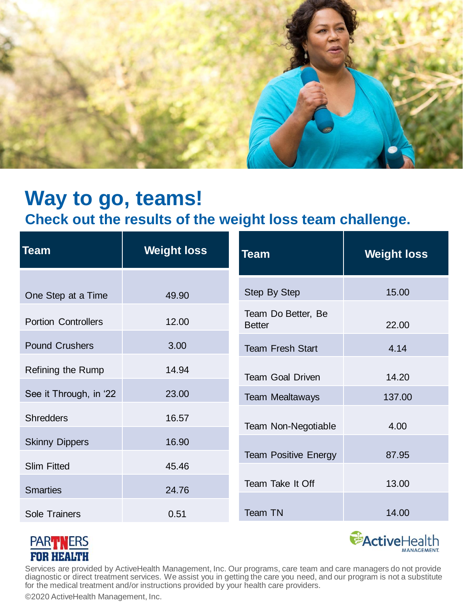

### **Check out the results of the weight loss team challenge.**

| Team                       | <b>Weight loss</b> | <b>Team</b>                         | <b>Weight loss</b> |
|----------------------------|--------------------|-------------------------------------|--------------------|
| One Step at a Time         | 49.90              | Step By Step                        | 15.00              |
| <b>Portion Controllers</b> | 12.00              | Team Do Better, Be<br><b>Better</b> | 22.00              |
| <b>Pound Crushers</b>      | 3.00               | <b>Team Fresh Start</b>             | 4.14               |
| Refining the Rump          | 14.94              | <b>Team Goal Driven</b>             | 14.20              |
| See it Through, in '22     | 23.00              | <b>Team Mealtaways</b>              | 137.00             |
| <b>Shredders</b>           | 16.57              | Team Non-Negotiable                 | 4.00               |
| <b>Skinny Dippers</b>      | 16.90              |                                     |                    |
| <b>Slim Fitted</b>         | 45.46              | <b>Team Positive Energy</b>         | 87.95              |
| <b>Smarties</b>            | 24.76              | Team Take It Off                    | 13.00              |
| <b>Sole Trainers</b>       | 0.51               | Team TN                             | 14.00              |





Services are provided by ActiveHealth Management, Inc. Our programs, care team and care managers do not provide diagnostic or direct treatment services. We assist you in getting the care you need, and our program is not a substitute for the medical treatment and/or instructions provided by your health care providers.